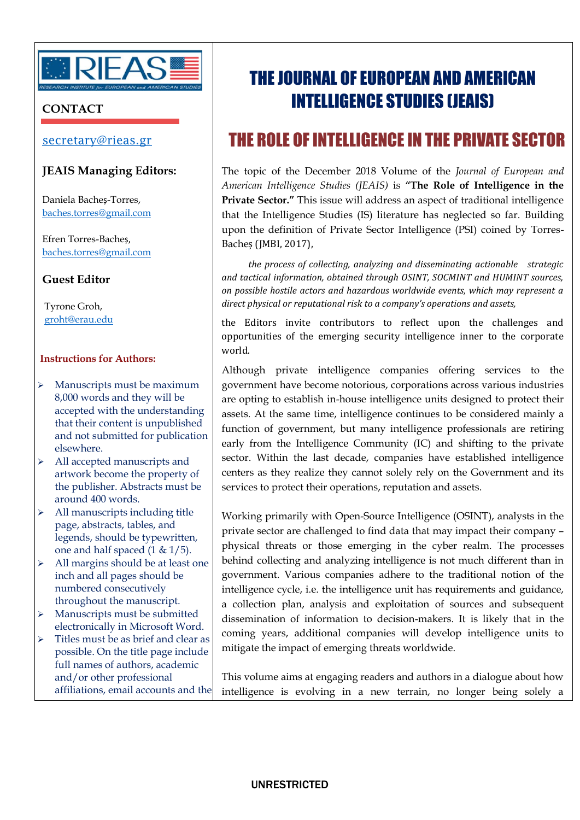

## **CONTACT**

## [secretary@rieas.gr](mailto:secretary@rieas.gr)

## **JEAIS Managing Editors:**

Daniela Bacheș-Torres, [baches.torres@gmail.com](mailto:baches.torres@gmail.com)

Efren Torres-Bacheș, [baches.torres@gmail.com](mailto:baches.torres@gmail.com)

**Guest Editor**

 Tyrone Groh, [groht@erau.edu](mailto:groht@erau.edu)

### **Instructions for Authors:**

- $\triangleright$  Manuscripts must be maximum 8,000 words and they will be accepted with the understanding that their content is unpublished and not submitted for publication elsewhere.
- > All accepted manuscripts and artwork become the property of the publisher. Abstracts must be around 400 words.
- $\triangleright$  All manuscripts including title page, abstracts, tables, and legends, should be typewritten, one and half spaced (1 & 1/5).
- $\triangleright$  All margins should be at least one inch and all pages should be numbered consecutively throughout the manuscript.
- > Manuscripts must be submitted electronically in Microsoft Word.
- $\triangleright$  Titles must be as brief and clear as possible. On the title page include full names of authors, academic and/or other professional affiliations, email accounts and the

# THE JOURNAL OF EUROPEAN AND AMERICAN INTELLIGENCE STUDIES (JEAIS)

# THE ROLE OFINTELLIGENCE IN THE PRIVATE SECTOR

The topic of the December 2018 Volume of the *Journal of European and American Intelligence Studies (JEAIS)* is **"The Role of Intelligence in the Private Sector."** This issue will address an aspect of traditional intelligence that the Intelligence Studies (IS) literature has neglected so far. Building upon the definition of Private Sector Intelligence (PSI) coined by Torres-Bacheș (JMBI, 2017),

*the process of collecting, analyzing and disseminating actionable strategic and tactical information, obtained through OSINT, SOCMINT and HUMINT sources, on possible hostile actors and hazardous worldwide events, which may represent a direct physical or reputational risk to a company's operations and assets,*

the Editors invite contributors to reflect upon the challenges and opportunities of the emerging security intelligence inner to the corporate world.

Although private intelligence companies offering services to the government have become notorious, corporations across various industries are opting to establish in-house intelligence units designed to protect their assets. At the same time, intelligence continues to be considered mainly a function of government, but many intelligence professionals are retiring early from the Intelligence Community (IC) and shifting to the private sector. Within the last decade, companies have established intelligence centers as they realize they cannot solely rely on the Government and its services to protect their operations, reputation and assets.

Working primarily with Open-Source Intelligence (OSINT), analysts in the private sector are challenged to find data that may impact their company – physical threats or those emerging in the cyber realm. The processes behind collecting and analyzing intelligence is not much different than in government. Various companies adhere to the traditional notion of the intelligence cycle, i.e. the intelligence unit has requirements and guidance, a collection plan, analysis and exploitation of sources and subsequent dissemination of information to decision-makers. It is likely that in the coming years, additional companies will develop intelligence units to mitigate the impact of emerging threats worldwide.

This volume aims at engaging readers and authors in a dialogue about how intelligence is evolving in a new terrain, no longer being solely a